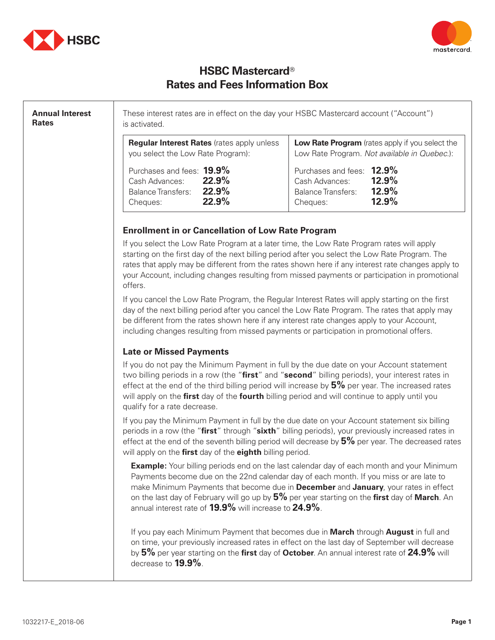



# **HSBC Mastercard**® **Rates and Fees Information Box**

**Annual Interest Rates**  These interest rates are in effect on the day your HSBC Mastercard account ("Account") is activated. **Regular Interest Rates** (rates apply unless you select the Low Rate Program): Purchases and fees: **19.9%** Cash Advances: **22.9%** Balance Transfers: **22.9%** Cheques: **22.9% Low Rate Program** (rates apply if you select the Low Rate Program. *Not available in Quebec*.): Purchases and fees: **12.9%** Cash Advances: **12.9% Balance Transfers:** Cheques: **12.9% Enrollment in or Cancellation of Low Rate Program** If you select the Low Rate Program at a later time, the Low Rate Program rates will apply starting on the first day of the next billing period after you select the Low Rate Program. The rates that apply may be different from the rates shown here if any interest rate changes apply to your Account, including changes resulting from missed payments or participation in promotional offers. If you cancel the Low Rate Program, the Regular Interest Rates will apply starting on the first day of the next billing period after you cancel the Low Rate Program. The rates that apply may be different from the rates shown here if any interest rate changes apply to your Account, including changes resulting from missed payments or participation in promotional offers. **Late or Missed Payments** If you do not pay the Minimum Payment in full by the due date on your Account statement two billing periods in a row (the "**first**" and "**second**" billing periods), your interest rates in effect at the end of the third billing period will increase by **5%** per year. The increased rates will apply on the **first** day of the **fourth** billing period and will continue to apply until you qualify for a rate decrease. If you pay the Minimum Payment in full by the due date on your Account statement six billing periods in a row (the "**first**" through "**sixth**" billing periods), your previously increased rates in effect at the end of the seventh billing period will decrease by **5%** per year. The decreased rates will apply on the **first** day of the **eighth** billing period. **Example:** Your billing periods end on the last calendar day of each month and your Minimum Payments become due on the 22nd calendar day of each month. If you miss or are late to make Minimum Payments that become due in **December** and **January**, your rates in effect on the last day of February will go up by **5%** per year starting on the **first** day of **March**. An annual interest rate of **19.9%** will increase to **24.9%**. If you pay each Minimum Payment that becomes due in **March** through **August** in full and on time, your previously increased rates in effect on the last day of September will decrease by **5%** per year starting on the **first** day of **October**. An annual interest rate of **24.9%** will decrease to **19.9%**.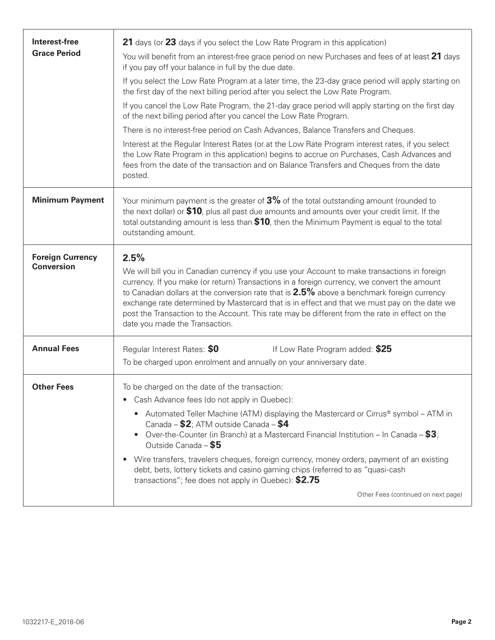| 21 days (or 23 days if you select the Low Rate Program in this application)                                                                                                                                                                                                                                                                                                                                                                                                                                                                                                                                                                                |
|------------------------------------------------------------------------------------------------------------------------------------------------------------------------------------------------------------------------------------------------------------------------------------------------------------------------------------------------------------------------------------------------------------------------------------------------------------------------------------------------------------------------------------------------------------------------------------------------------------------------------------------------------------|
| You will benefit from an interest-free grace period on new Purchases and fees of at least 21 days<br>if you pay off your balance in full by the due date.                                                                                                                                                                                                                                                                                                                                                                                                                                                                                                  |
| If you select the Low Rate Program at a later time, the 23-day grace period will apply starting on<br>the first day of the next billing period after you select the Low Rate Program.                                                                                                                                                                                                                                                                                                                                                                                                                                                                      |
| If you cancel the Low Rate Program, the 21-day grace period will apply starting on the first day<br>of the next billing period after you cancel the Low Rate Program.                                                                                                                                                                                                                                                                                                                                                                                                                                                                                      |
| There is no interest-free period on Cash Advances, Balance Transfers and Cheques.                                                                                                                                                                                                                                                                                                                                                                                                                                                                                                                                                                          |
| Interest at the Regular Interest Rates (or at the Low Rate Program interest rates, if you select<br>the Low Rate Program in this application) begins to accrue on Purchases, Cash Advances and<br>fees from the date of the transaction and on Balance Transfers and Cheques from the date<br>posted.                                                                                                                                                                                                                                                                                                                                                      |
| Your minimum payment is the greater of $3\%$ of the total outstanding amount (rounded to<br>the next dollar) or \$10, plus all past due amounts and amounts over your credit limit. If the<br>total outstanding amount is less than \$10, then the Minimum Payment is equal to the total<br>outstanding amount.                                                                                                                                                                                                                                                                                                                                            |
| 2.5%<br>We will bill you in Canadian currency if you use your Account to make transactions in foreign<br>currency. If you make (or return) Transactions in a foreign currency, we convert the amount<br>to Canadian dollars at the conversion rate that is $2.5\%$ above a benchmark foreign currency<br>exchange rate determined by Mastercard that is in effect and that we must pay on the date we<br>post the Transaction to the Account. This rate may be different from the rate in effect on the<br>date you made the Transaction.                                                                                                                  |
| Regular Interest Rates: \$0<br>If Low Rate Program added: \$25<br>To be charged upon enrolment and annually on your anniversary date.                                                                                                                                                                                                                                                                                                                                                                                                                                                                                                                      |
| To be charged on the date of the transaction:<br>Cash Advance fees (do not apply in Quebec):<br>• Automated Teller Machine (ATM) displaying the Mastercard or Cirrus® symbol – ATM in<br>Canada - \$2; ATM outside Canada - \$4<br>Over-the-Counter (in Branch) at a Mastercard Financial Institution – In Canada – $$3;$<br>$\bullet$<br>Outside Canada - \$5<br>Wire transfers, travelers cheques, foreign currency, money orders, payment of an existing<br>$\bullet$<br>debt, bets, lottery tickets and casino gaming chips (referred to as "quasi-cash<br>transactions"; fee does not apply in Quebec): \$2.75<br>Other Fees (continued on next page) |
|                                                                                                                                                                                                                                                                                                                                                                                                                                                                                                                                                                                                                                                            |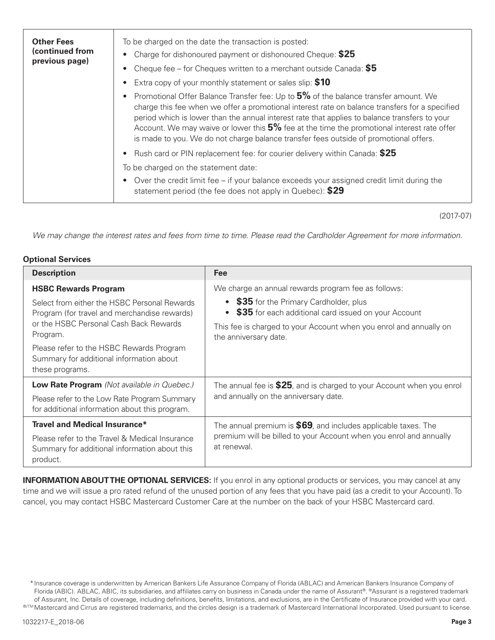| <b>Other Fees</b><br>(continued from<br>previous page) | To be charged on the date the transaction is posted:<br>Charge for dishonoured payment or dishonoured Cheque: \$25<br>Cheque fee – for Cheques written to a merchant outside Canada: $$5$<br>Extra copy of your monthly statement or sales slip: \$10                                                                                                                                                                                                                         |
|--------------------------------------------------------|-------------------------------------------------------------------------------------------------------------------------------------------------------------------------------------------------------------------------------------------------------------------------------------------------------------------------------------------------------------------------------------------------------------------------------------------------------------------------------|
|                                                        | Promotional Offer Balance Transfer fee: Up to 5% of the balance transfer amount. We<br>charge this fee when we offer a promotional interest rate on balance transfers for a specified<br>period which is lower than the annual interest rate that applies to balance transfers to your<br>Account. We may waive or lower this 5% fee at the time the promotional interest rate offer<br>is made to you. We do not charge balance transfer fees outside of promotional offers. |
|                                                        | Rush card or PIN replacement fee: for courier delivery within Canada: \$25<br>To be charged on the statement date:<br>Over the credit limit fee $-$ if your balance exceeds your assigned credit limit during the<br>statement period (the fee does not apply in Quebec): \$29                                                                                                                                                                                                |

(2017-07)

*We may change the interest rates and fees from time to time. Please read the Cardholder Agreement for more information.*

### **Optional Services**

| <b>Description</b>                                                                                                                                 | Fee                                                                                                                                                                                            |  |
|----------------------------------------------------------------------------------------------------------------------------------------------------|------------------------------------------------------------------------------------------------------------------------------------------------------------------------------------------------|--|
| <b>HSBC Rewards Program</b>                                                                                                                        | We charge an annual rewards program fee as follows:                                                                                                                                            |  |
| Select from either the HSBC Personal Rewards<br>Program (for travel and merchandise rewards)<br>or the HSBC Personal Cash Back Rewards<br>Program. | • \$35 for the Primary Cardholder, plus<br>\$35 for each additional card issued on your Account<br>This fee is charged to your Account when you enrol and annually on<br>the anniversary date. |  |
| Please refer to the HSBC Rewards Program<br>Summary for additional information about<br>these programs.                                            |                                                                                                                                                                                                |  |
| Low Rate Program (Not available in Quebec.)                                                                                                        | The annual fee is \$25, and is charged to your Account when you enrol                                                                                                                          |  |
| Please refer to the Low Rate Program Summary<br>for additional information about this program.                                                     | and annually on the anniversary date.                                                                                                                                                          |  |
| <b>Travel and Medical Insurance*</b>                                                                                                               | The annual premium is $$69$ , and includes applicable taxes. The<br>premium will be billed to your Account when you enrol and annually<br>at renewal.                                          |  |
| Please refer to the Travel & Medical Insurance<br>Summary for additional information about this<br>product.                                        |                                                                                                                                                                                                |  |

**INFORMATION ABOUT THE OPTIONAL SERVICES:** If you enrol in any optional products or services, you may cancel at any time and we will issue a pro rated refund of the unused portion of any fees that you have paid (as a credit to your Account). To cancel, you may contact HSBC Mastercard Customer Care at the number on the back of your HSBC Mastercard card.

<sup>\*</sup>Insurance coverage is underwritten by American Bankers Life Assurance Company of Florida (ABLAC) and American Bankers Insurance Company of Florida (ABIC). ABLAC, ABIC, its subsidiaries, and affiliates carry on business in Canada under the name of Assurant®. ®Assurant is a registered trademark of Assurant, Inc. Details of coverage, including definitions, benefits, limitations, and exclusions, are in the Certificate of Insurance provided with your card. ®<sup>™</sup>Mastercard and Cirrus are registered trademarks, and the circles design is a trademark of Mastercard International Incorporated. Used pursuant to license.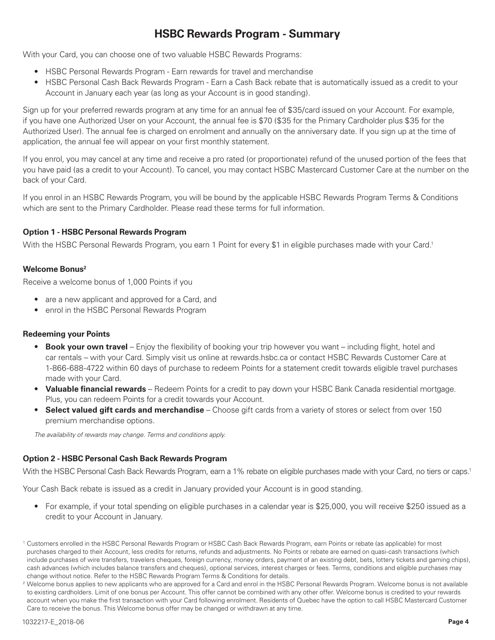## **HSBC Rewards Program - Summary**

With your Card, you can choose one of two valuable HSBC Rewards Programs:

- HSBC Personal Rewards Program Earn rewards for travel and merchandise
- HSBC Personal Cash Back Rewards Program Earn a Cash Back rebate that is automatically issued as a credit to your Account in January each year (as long as your Account is in good standing).

Sign up for your preferred rewards program at any time for an annual fee of \$35/card issued on your Account. For example, if you have one Authorized User on your Account, the annual fee is \$70 (\$35 for the Primary Cardholder plus \$35 for the Authorized User). The annual fee is charged on enrolment and annually on the anniversary date. If you sign up at the time of application, the annual fee will appear on your first monthly statement.

If you enrol, you may cancel at any time and receive a pro rated (or proportionate) refund of the unused portion of the fees that you have paid (as a credit to your Account). To cancel, you may contact HSBC Mastercard Customer Care at the number on the back of your Card.

If you enrol in an HSBC Rewards Program, you will be bound by the applicable HSBC Rewards Program Terms & Conditions which are sent to the Primary Cardholder. Please read these terms for full information.

## **Option 1 - HSBC Personal Rewards Program**

With the HSBC Personal Rewards Program, you earn 1 Point for every \$1 in eligible purchases made with your Card.<sup>1</sup>

## **Welcome Bonus2**

Receive a welcome bonus of 1,000 Points if you

- are a new applicant and approved for a Card, and
- enrol in the HSBC Personal Rewards Program

### **Redeeming your Points**

- **Book your own travel** Enjoy the flexibility of booking your trip however you want including flight, hotel and car rentals – with your Card. Simply visit us online at rewards.hsbc.ca or contact HSBC Rewards Customer Care at 1-866-688-4722 within 60 days of purchase to redeem Points for a statement credit towards eligible travel purchases made with your Card.
- **Valuable financial rewards** Redeem Points for a credit to pay down your HSBC Bank Canada residential mortgage. Plus, you can redeem Points for a credit towards your Account.
- **Select valued gift cards and merchandise** Choose gift cards from a variety of stores or select from over 150 premium merchandise options.

*The availability of rewards may change. Terms and conditions apply.*

### **Option 2 - HSBC Personal Cash Back Rewards Program**

With the HSBC Personal Cash Back Rewards Program, earn a 1% rebate on eligible purchases made with your Card, no tiers or caps.<sup>1</sup>

Your Cash Back rebate is issued as a credit in January provided your Account is in good standing.

• For example, if your total spending on eligible purchases in a calendar year is \$25,000, you will receive \$250 issued as a credit to your Account in January.

<sup>1</sup> Customers enrolled in the HSBC Personal Rewards Program or HSBC Cash Back Rewards Program, earn Points or rebate (as applicable) for most purchases charged to their Account, less credits for returns, refunds and adjustments. No Points or rebate are earned on quasi-cash transactions (which include purchases of wire transfers, travelers cheques, foreign currency, money orders, payment of an existing debt, bets, lottery tickets and gaming chips), cash advances (which includes balance transfers and cheques), optional services, interest charges or fees. Terms, conditions and eligible purchases may change without notice. Refer to the HSBC Rewards Program Terms & Conditions for details.

<sup>&</sup>lt;sup>2</sup> Welcome bonus applies to new applicants who are approved for a Card and enrol in the HSBC Personal Rewards Program. Welcome bonus is not available to existing cardholders. Limit of one bonus per Account. This offer cannot be combined with any other offer. Welcome bonus is credited to your rewards account when you make the first transaction with your Card following enrolment. Residents of Quebec have the option to call HSBC Mastercard Customer Care to receive the bonus. This Welcome bonus offer may be changed or withdrawn at any time.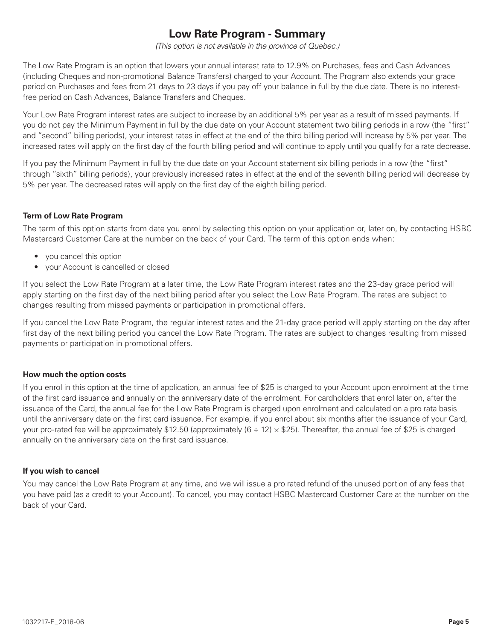# **Low Rate Program - Summary**

*(This option is not available in the province of Quebec.)*

The Low Rate Program is an option that lowers your annual interest rate to 12.9% on Purchases, fees and Cash Advances (including Cheques and non-promotional Balance Transfers) charged to your Account. The Program also extends your grace period on Purchases and fees from 21 days to 23 days if you pay off your balance in full by the due date. There is no interestfree period on Cash Advances, Balance Transfers and Cheques.

Your Low Rate Program interest rates are subject to increase by an additional 5% per year as a result of missed payments. If you do not pay the Minimum Payment in full by the due date on your Account statement two billing periods in a row (the "first" and "second" billing periods), your interest rates in effect at the end of the third billing period will increase by 5% per year. The increased rates will apply on the first day of the fourth billing period and will continue to apply until you qualify for a rate decrease.

If you pay the Minimum Payment in full by the due date on your Account statement six billing periods in a row (the "first" through "sixth" billing periods), your previously increased rates in effect at the end of the seventh billing period will decrease by 5% per year. The decreased rates will apply on the first day of the eighth billing period.

## **Term of Low Rate Program**

The term of this option starts from date you enrol by selecting this option on your application or, later on, by contacting HSBC Mastercard Customer Care at the number on the back of your Card. The term of this option ends when:

- you cancel this option
- your Account is cancelled or closed

If you select the Low Rate Program at a later time, the Low Rate Program interest rates and the 23-day grace period will apply starting on the first day of the next billing period after you select the Low Rate Program. The rates are subject to changes resulting from missed payments or participation in promotional offers.

If you cancel the Low Rate Program, the regular interest rates and the 21-day grace period will apply starting on the day after first day of the next billing period you cancel the Low Rate Program. The rates are subject to changes resulting from missed payments or participation in promotional offers.

### **How much the option costs**

If you enrol in this option at the time of application, an annual fee of \$25 is charged to your Account upon enrolment at the time of the first card issuance and annually on the anniversary date of the enrolment. For cardholders that enrol later on, after the issuance of the Card, the annual fee for the Low Rate Program is charged upon enrolment and calculated on a pro rata basis until the anniversary date on the first card issuance. For example, if you enrol about six months after the issuance of your Card, your pro-rated fee will be approximately \$12.50 (approximately  $(6 \div 12) \times $25)$ ). Thereafter, the annual fee of \$25 is charged annually on the anniversary date on the first card issuance.

### **If you wish to cancel**

You may cancel the Low Rate Program at any time, and we will issue a pro rated refund of the unused portion of any fees that you have paid (as a credit to your Account). To cancel, you may contact HSBC Mastercard Customer Care at the number on the back of your Card.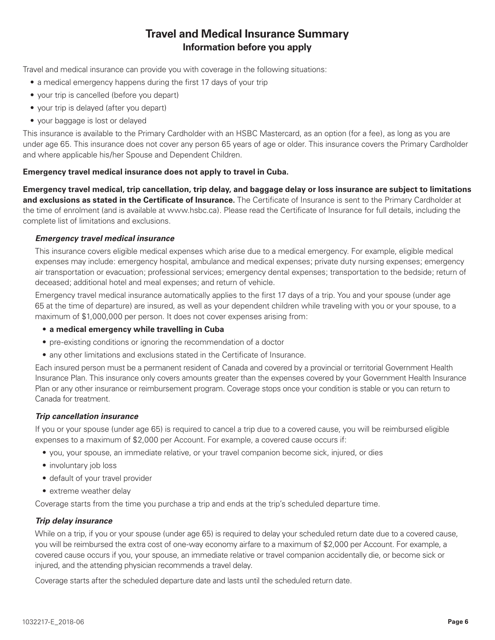## **Travel and Medical Insurance Summary Information before you apply**

Travel and medical insurance can provide you with coverage in the following situations:

- a medical emergency happens during the first 17 days of your trip
- your trip is cancelled (before you depart)
- your trip is delayed (after you depart)
- your baggage is lost or delayed

This insurance is available to the Primary Cardholder with an HSBC Mastercard, as an option (for a fee), as long as you are under age 65. This insurance does not cover any person 65 years of age or older. This insurance covers the Primary Cardholder and where applicable his/her Spouse and Dependent Children.

#### **Emergency travel medical insurance does not apply to travel in Cuba.**

**Emergency travel medical, trip cancellation, trip delay, and baggage delay or loss insurance are subject to limitations and exclusions as stated in the Certificate of Insurance.** The Certificate of Insurance is sent to the Primary Cardholder at the time of enrolment (and is available at www.hsbc.ca). Please read the Certificate of Insurance for full details, including the complete list of limitations and exclusions.

#### *Emergency travel medical insurance*

This insurance covers eligible medical expenses which arise due to a medical emergency. For example, eligible medical expenses may include: emergency hospital, ambulance and medical expenses; private duty nursing expenses; emergency air transportation or evacuation; professional services; emergency dental expenses; transportation to the bedside; return of deceased; additional hotel and meal expenses; and return of vehicle.

Emergency travel medical insurance automatically applies to the first 17 days of a trip. You and your spouse (under age 65 at the time of departure) are insured, as well as your dependent children while traveling with you or your spouse, to a maximum of \$1,000,000 per person. It does not cover expenses arising from:

#### • **a medical emergency while travelling in Cuba**

- pre-existing conditions or ignoring the recommendation of a doctor
- any other limitations and exclusions stated in the Certificate of Insurance.

Each insured person must be a permanent resident of Canada and covered by a provincial or territorial Government Health Insurance Plan. This insurance only covers amounts greater than the expenses covered by your Government Health Insurance Plan or any other insurance or reimbursement program. Coverage stops once your condition is stable or you can return to Canada for treatment.

#### *Trip cancellation insurance*

If you or your spouse (under age 65) is required to cancel a trip due to a covered cause, you will be reimbursed eligible expenses to a maximum of \$2,000 per Account. For example, a covered cause occurs if:

- you, your spouse, an immediate relative, or your travel companion become sick, injured, or dies
- involuntary job loss
- default of your travel provider
- extreme weather delay

Coverage starts from the time you purchase a trip and ends at the trip's scheduled departure time.

#### *Trip delay insurance*

While on a trip, if you or your spouse (under age 65) is required to delay your scheduled return date due to a covered cause, you will be reimbursed the extra cost of one-way economy airfare to a maximum of \$2,000 per Account. For example, a covered cause occurs if you, your spouse, an immediate relative or travel companion accidentally die, or become sick or injured, and the attending physician recommends a travel delay.

Coverage starts after the scheduled departure date and lasts until the scheduled return date.